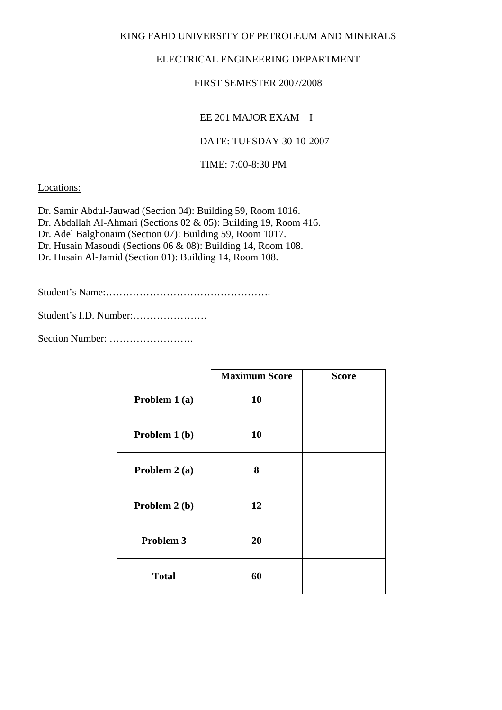KING FAHD UNIVERSITY OF PETROLEUM AND MINERALS

## ELECTRICAL ENGINEERING DEPARTMENT

## FIRST SEMESTER 2007/2008

EE 201 MAJOR EXAM I

DATE: TUESDAY 30-10-2007

TIME: 7:00-8:30 PM

Locations:

Dr. Samir Abdul-Jauwad (Section 04): Building 59, Room 1016. Dr. Abdallah Al-Ahmari (Sections 02 & 05): Building 19, Room 416. Dr. Adel Balghonaim (Section 07): Building 59, Room 1017. Dr. Husain Masoudi (Sections 06 & 08): Building 14, Room 108. Dr. Husain Al-Jamid (Section 01): Building 14, Room 108.

Student's Name:………………………………………….

Student's I.D. Number:………………….

Section Number: …………………….

|               | <b>Maximum Score</b> | <b>Score</b> |
|---------------|----------------------|--------------|
| Problem 1 (a) | 10                   |              |
| Problem 1 (b) | 10                   |              |
| Problem 2 (a) | 8                    |              |
| Problem 2 (b) | 12                   |              |
| Problem 3     | 20                   |              |
| <b>Total</b>  | 60                   |              |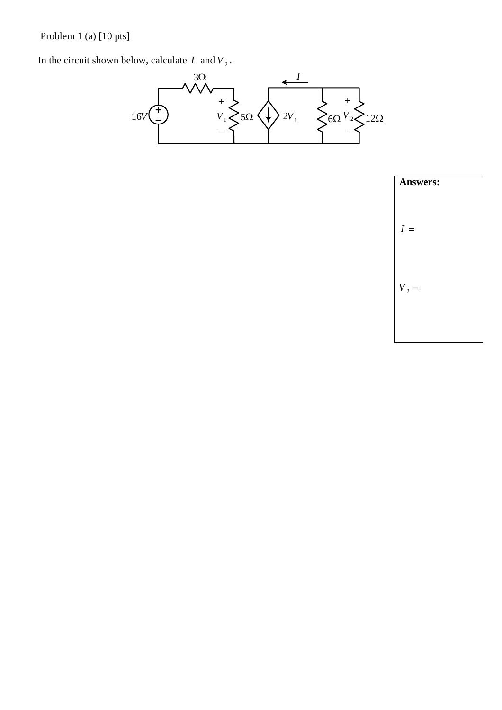Problem 1 (a) [10 pts]

In the circuit shown below, calculate  $I$  and  $V_2$ .



| <b>Answers:</b> |  |
|-----------------|--|
| $I =$           |  |
| $V_2 =$         |  |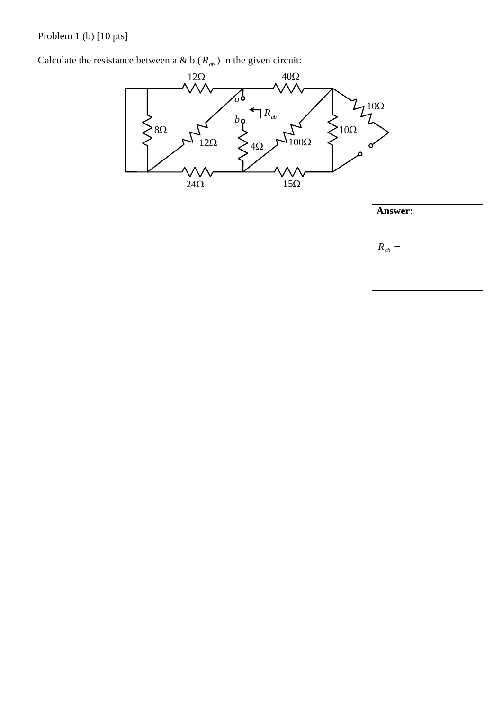Problem 1 (b) [10 pts]

Calculate the resistance between a & b ( $R_{ab}$ ) in the given circuit:



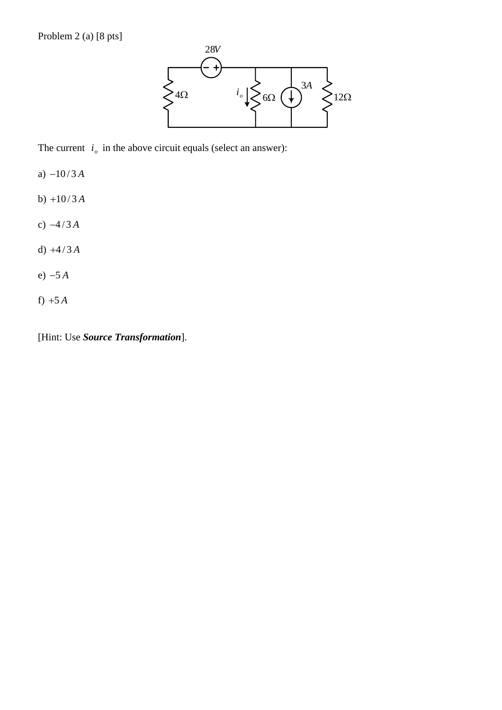

The current  $i<sub>o</sub>$  in the above circuit equals (select an answer):

- a) −10 / 3 *A*
- b)  $+10/3A$
- c) −4/3 *A*
- d) +4/3 *A*
- e) −5 *A*
- f) +5 *A*

[Hint: Use *Source Transformation*].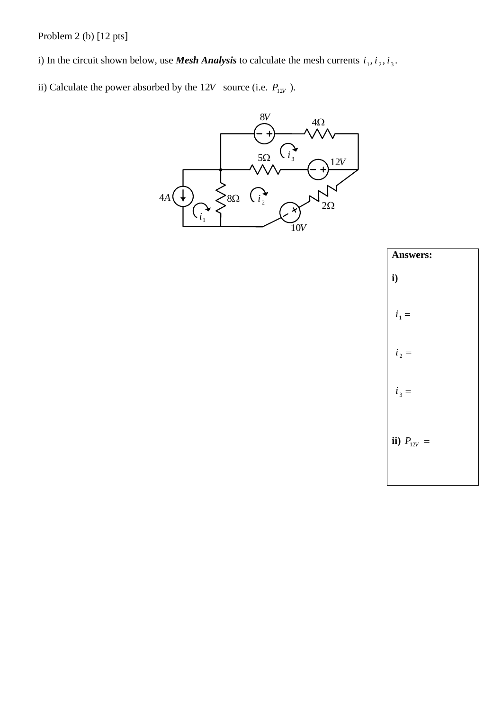Problem 2 (b) [12 pts]

i) In the circuit shown below, use *Mesh Analysis* to calculate the mesh currents  $i_1$ ,  $i_2$ ,  $i_3$ .

ii) Calculate the power absorbed by the 12*V* source (i.e.  $P_{12V}$ ).



| <b>Answers:</b> |
|-----------------|
| i)              |
| $i_1 =$         |
| $i_2 =$         |
| $i_3 =$         |
| ii) $P_{12V} =$ |
|                 |